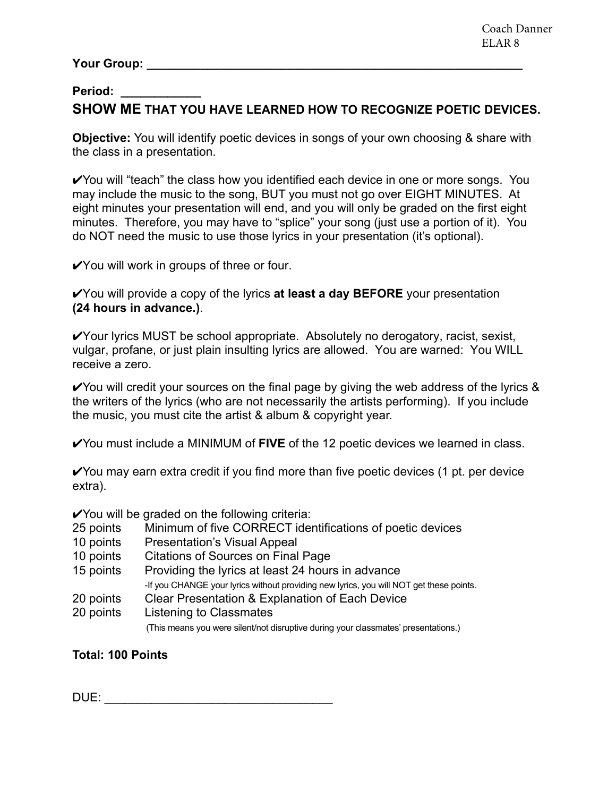## **Your Group: \_\_\_\_\_\_\_\_\_\_\_\_\_\_\_\_\_\_\_\_\_\_\_\_\_\_\_\_\_\_\_\_\_\_\_\_\_\_\_\_\_\_\_\_\_\_\_\_\_\_\_\_\_\_\_\_**

## **Period: \_\_\_\_\_\_\_\_\_\_\_\_ SHOW ME THAT YOU HAVE LEARNED HOW TO RECOGNIZE POETIC DEVICES.**

**Objective:** You will identify poetic devices in songs of your own choosing & share with the class in a presentation.

✔You will "teach" the class how you identified each device in one or more songs. You may include the music to the song, BUT you must not go over EIGHT MINUTES. At eight minutes your presentation will end, and you will only be graded on the first eight minutes. Therefore, you may have to "splice" your song (just use a portion of it). You do NOT need the music to use those lyrics in your presentation (it's optional).

✔You will work in groups of three or four.

✔You will provide a copy of the lyrics **at least a day BEFORE** your presentation **(24 hours in advance.)**.

✔Your lyrics MUST be school appropriate. Absolutely no derogatory, racist, sexist, vulgar, profane, or just plain insulting lyrics are allowed. You are warned: You WILL receive a zero.

 $\checkmark$  You will credit your sources on the final page by giving the web address of the lyrics & the writers of the lyrics (who are not necessarily the artists performing). If you include the music, you must cite the artist & album & copyright year.

✔You must include a MINIMUM of **FIVE** of the 12 poetic devices we learned in class.

 $\checkmark$  You may earn extra credit if you find more than five poetic devices (1 pt. per device extra).

**∕**You will be graded on the following criteria:

- 25 points Minimum of five CORRECT identifications of poetic devices
- 10 points Presentation's Visual Appeal
- 10 points Citations of Sources on Final Page
- 15 points Providing the lyrics at least 24 hours in advance

-If you CHANGE your lyrics without providing new lyrics, you will NOT get these points.

- 20 points Clear Presentation & Explanation of Each Device
- 20 points Listening to Classmates

(This means you were silent/not disruptive during your classmates' presentations.)

## **Total: 100 Points**

DUE: \_\_\_\_\_\_\_\_\_\_\_\_\_\_\_\_\_\_\_\_\_\_\_\_\_\_\_\_\_\_\_\_\_\_